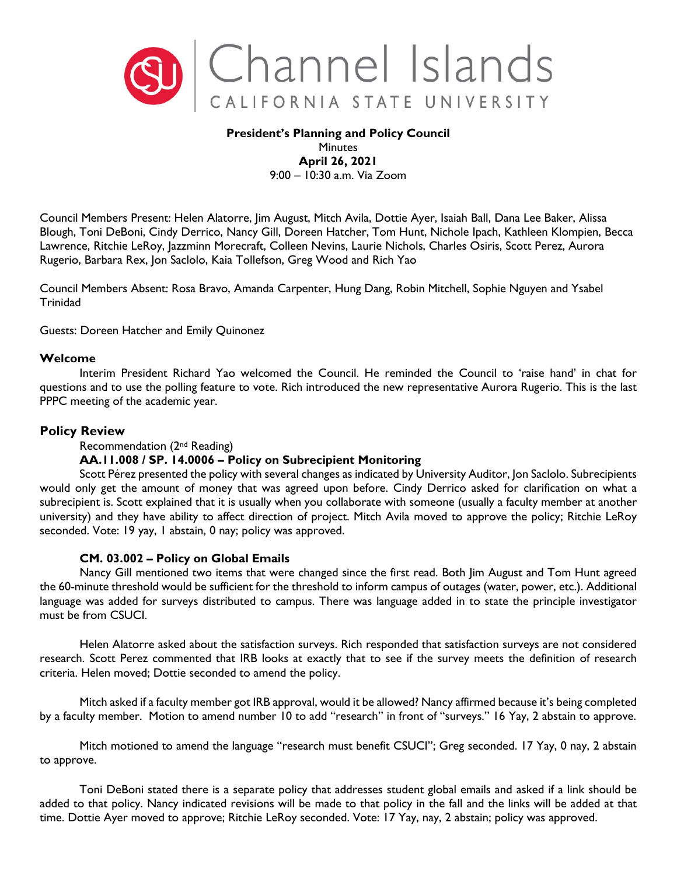

### **President's Planning and Policy Council** Minutes **April 26, 2021**

9:00 – 10:30 a.m. Via Zoom

Council Members Present: Helen Alatorre, Jim August, Mitch Avila, Dottie Ayer, Isaiah Ball, Dana Lee Baker, Alissa Blough, Toni DeBoni, Cindy Derrico, Nancy Gill, Doreen Hatcher, Tom Hunt, Nichole Ipach, Kathleen Klompien, Becca Lawrence, Ritchie LeRoy, Jazzminn Morecraft, Colleen Nevins, Laurie Nichols, Charles Osiris, Scott Perez, Aurora Rugerio, Barbara Rex, Jon Saclolo, Kaia Tollefson, Greg Wood and Rich Yao

Council Members Absent: Rosa Bravo, Amanda Carpenter, Hung Dang, Robin Mitchell, Sophie Nguyen and Ysabel Trinidad

Guests: Doreen Hatcher and Emily Quinonez

### **Welcome**

Interim President Richard Yao welcomed the Council. He reminded the Council to 'raise hand' in chat for questions and to use the polling feature to vote. Rich introduced the new representative Aurora Rugerio. This is the last PPPC meeting of the academic year.

# **Policy Review**

#### Recommendation (2nd Reading)

# **AA.11.008 / SP. 14.0006 – Policy on Subrecipient Monitoring**

Scott Pérez presented the policy with several changes as indicated by University Auditor, Jon Saclolo. Subrecipients would only get the amount of money that was agreed upon before. Cindy Derrico asked for clarification on what a subrecipient is. Scott explained that it is usually when you collaborate with someone (usually a faculty member at another university) and they have ability to affect direction of project. Mitch Avila moved to approve the policy; Ritchie LeRoy seconded. Vote: 19 yay, 1 abstain, 0 nay; policy was approved.

# **CM. 03.002 – Policy on Global Emails**

Nancy Gill mentioned two items that were changed since the first read. Both Jim August and Tom Hunt agreed the 60-minute threshold would be sufficient for the threshold to inform campus of outages (water, power, etc.). Additional language was added for surveys distributed to campus. There was language added in to state the principle investigator must be from CSUCI.

Helen Alatorre asked about the satisfaction surveys. Rich responded that satisfaction surveys are not considered research. Scott Perez commented that IRB looks at exactly that to see if the survey meets the definition of research criteria. Helen moved; Dottie seconded to amend the policy.

Mitch asked if a faculty member got IRB approval, would it be allowed? Nancy affirmed because it's being completed by a faculty member. Motion to amend number 10 to add "research" in front of "surveys." 16 Yay, 2 abstain to approve.

Mitch motioned to amend the language "research must benefit CSUCI"; Greg seconded. 17 Yay, 0 nay, 2 abstain to approve.

Toni DeBoni stated there is a separate policy that addresses student global emails and asked if a link should be added to that policy. Nancy indicated revisions will be made to that policy in the fall and the links will be added at that time. Dottie Ayer moved to approve; Ritchie LeRoy seconded. Vote: 17 Yay, nay, 2 abstain; policy was approved.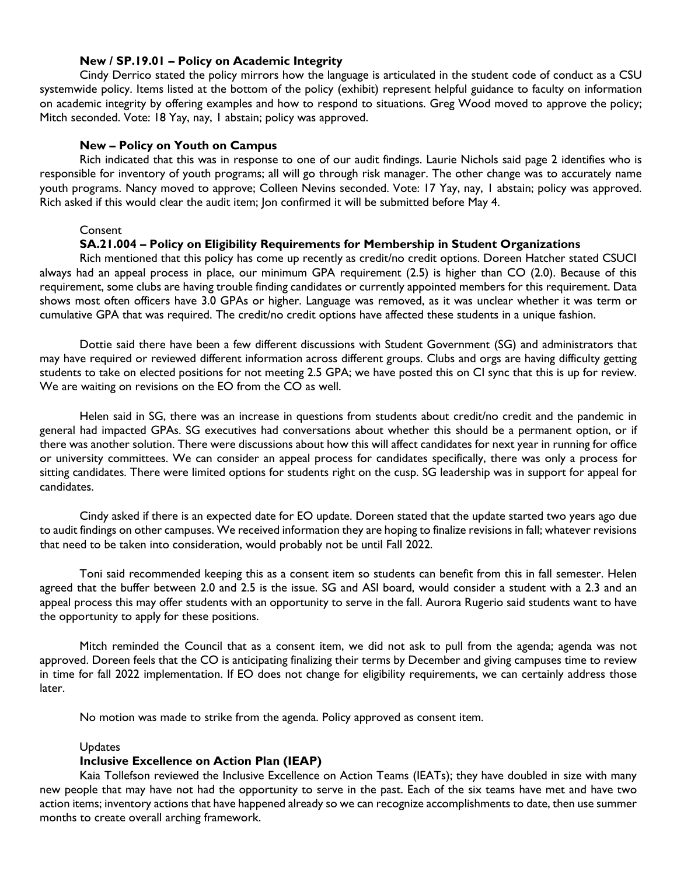#### **New / SP.19.01 – Policy on Academic Integrity**

Cindy Derrico stated the policy mirrors how the language is articulated in the student code of conduct as a CSU systemwide policy. Items listed at the bottom of the policy (exhibit) represent helpful guidance to faculty on information on academic integrity by offering examples and how to respond to situations. Greg Wood moved to approve the policy; Mitch seconded. Vote: 18 Yay, nay, 1 abstain; policy was approved.

### **New – Policy on Youth on Campus**

Rich indicated that this was in response to one of our audit findings. Laurie Nichols said page 2 identifies who is responsible for inventory of youth programs; all will go through risk manager. The other change was to accurately name youth programs. Nancy moved to approve; Colleen Nevins seconded. Vote: 17 Yay, nay, 1 abstain; policy was approved. Rich asked if this would clear the audit item; Jon confirmed it will be submitted before May 4.

### **Consent**

# **SA.21.004 – Policy on Eligibility Requirements for Membership in Student Organizations**

Rich mentioned that this policy has come up recently as credit/no credit options. Doreen Hatcher stated CSUCI always had an appeal process in place, our minimum GPA requirement (2.5) is higher than CO (2.0). Because of this requirement, some clubs are having trouble finding candidates or currently appointed members for this requirement. Data shows most often officers have 3.0 GPAs or higher. Language was removed, as it was unclear whether it was term or cumulative GPA that was required. The credit/no credit options have affected these students in a unique fashion.

Dottie said there have been a few different discussions with Student Government (SG) and administrators that may have required or reviewed different information across different groups. Clubs and orgs are having difficulty getting students to take on elected positions for not meeting 2.5 GPA; we have posted this on CI sync that this is up for review. We are waiting on revisions on the EO from the CO as well.

Helen said in SG, there was an increase in questions from students about credit/no credit and the pandemic in general had impacted GPAs. SG executives had conversations about whether this should be a permanent option, or if there was another solution. There were discussions about how this will affect candidates for next year in running for office or university committees. We can consider an appeal process for candidates specifically, there was only a process for sitting candidates. There were limited options for students right on the cusp. SG leadership was in support for appeal for candidates.

Cindy asked if there is an expected date for EO update. Doreen stated that the update started two years ago due to audit findings on other campuses. We received information they are hoping to finalize revisions in fall; whatever revisions that need to be taken into consideration, would probably not be until Fall 2022.

Toni said recommended keeping this as a consent item so students can benefit from this in fall semester. Helen agreed that the buffer between 2.0 and 2.5 is the issue. SG and ASI board, would consider a student with a 2.3 and an appeal process this may offer students with an opportunity to serve in the fall. Aurora Rugerio said students want to have the opportunity to apply for these positions.

Mitch reminded the Council that as a consent item, we did not ask to pull from the agenda; agenda was not approved. Doreen feels that the CO is anticipating finalizing their terms by December and giving campuses time to review in time for fall 2022 implementation. If EO does not change for eligibility requirements, we can certainly address those later.

No motion was made to strike from the agenda. Policy approved as consent item.

# **Updates**

# **Inclusive Excellence on Action Plan (IEAP)**

Kaia Tollefson reviewed the Inclusive Excellence on Action Teams (IEATs); they have doubled in size with many new people that may have not had the opportunity to serve in the past. Each of the six teams have met and have two action items; inventory actions that have happened already so we can recognize accomplishments to date, then use summer months to create overall arching framework.